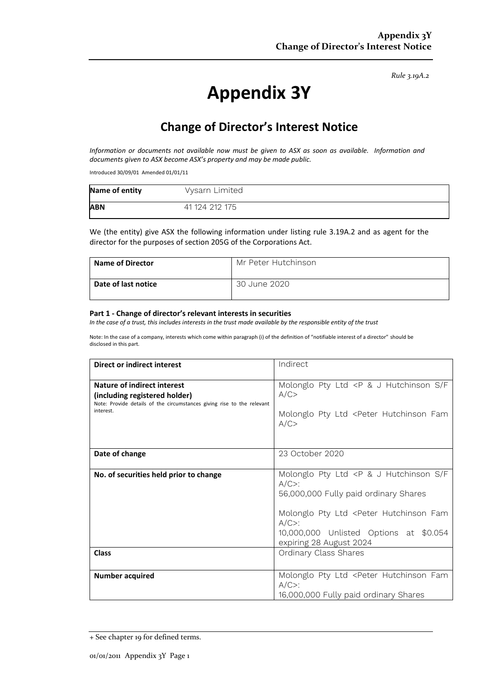*Rule 3.19A.2*

# **Appendix 3Y**

## **Change of Director's Interest Notice**

*Information or documents not available now must be given to ASX as soon as available. Information and documents given to ASX become ASX's property and may be made public.*

Introduced 30/09/01 Amended 01/01/11

| Name of entity | Vysarn Limited |
|----------------|----------------|
| <b>ABN</b>     | 41 124 212 175 |

We (the entity) give ASX the following information under listing rule 3.19A.2 and as agent for the director for the purposes of section 205G of the Corporations Act.

| Name of Director    | Mr Peter Hutchinson |
|---------------------|---------------------|
| Date of last notice | 30 June 2020        |

#### **Part 1 - Change of director's relevant interests in securities**

*In the case of a trust, this includes interests in the trust made available by the responsible entity of the trust*

Note: In the case of a company, interests which come within paragraph (i) of the definition of "notifiable interest of a director" should be disclosed in this part.

| <b>Direct or indirect interest</b>                                                                                                                  | Indirect                                                                                                                                                                                                                                                                                                    |  |
|-----------------------------------------------------------------------------------------------------------------------------------------------------|-------------------------------------------------------------------------------------------------------------------------------------------------------------------------------------------------------------------------------------------------------------------------------------------------------------|--|
| Nature of indirect interest<br>(including registered holder)<br>Note: Provide details of the circumstances giving rise to the relevant<br>interest. | Molonglo Pty Ltd <p &="" f<br="" hutchinson="" j="" s="">A/C<br/>Molonglo Pty Ltd <peter fam<br="" hutchinson="">A/C</peter></p>                                                                                                                                                                            |  |
| Date of change                                                                                                                                      | 23 October 2020                                                                                                                                                                                                                                                                                             |  |
| No. of securities held prior to change<br><b>Class</b>                                                                                              | Molonglo Pty Ltd <p &="" f<br="" hutchinson="" j="" s=""><math>A/C</math>:<br/>56,000,000 Fully paid ordinary Shares<br/>Molonglo Pty Ltd <peter fam<br="" hutchinson=""><math>A/C</math>&gt;:<br/>10,000,000 Unlisted Options at \$0.054<br/>expiring 28 August 2024<br/>Ordinary Class Shares</peter></p> |  |
|                                                                                                                                                     |                                                                                                                                                                                                                                                                                                             |  |
| <b>Number acquired</b>                                                                                                                              | Molonglo Pty Ltd <peter fam<br="" hutchinson=""><math>A/C</math>:<br/>16,000,000 Fully paid ordinary Shares</peter>                                                                                                                                                                                         |  |

<sup>+</sup> See chapter 19 for defined terms.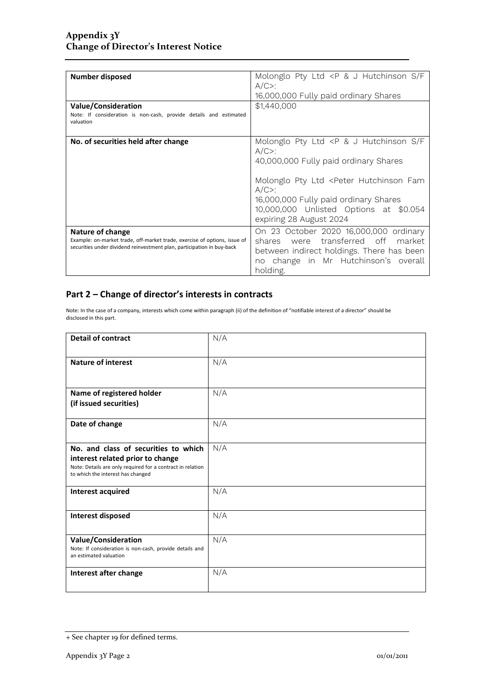| <b>Number disposed</b><br><b>Value/Consideration</b>                                                                                                                    | Molonglo Pty Ltd <p &="" f<br="" hutchinson="" j="" s=""><math>A/C</math>:<br/>16,000,000 Fully paid ordinary Shares<br/>\$1,440,000</p>                                                                                                                                                                                    |
|-------------------------------------------------------------------------------------------------------------------------------------------------------------------------|-----------------------------------------------------------------------------------------------------------------------------------------------------------------------------------------------------------------------------------------------------------------------------------------------------------------------------|
| Note: If consideration is non-cash, provide details and estimated<br>valuation                                                                                          |                                                                                                                                                                                                                                                                                                                             |
| No. of securities held after change                                                                                                                                     | Molonglo Pty Ltd <p &="" f<br="" hutchinson="" j="" s=""><math>A/C</math>&gt;:<br/>40,000,000 Fully paid ordinary Shares<br/>Molonglo Pty Ltd <peter fam<br="" hutchinson=""><math>A/C</math>:<br/>16,000,000 Fully paid ordinary Shares<br/>10,000,000 Unlisted Options at \$0.054<br/>expiring 28 August 2024</peter></p> |
| Nature of change<br>Example: on-market trade, off-market trade, exercise of options, issue of<br>securities under dividend reinvestment plan, participation in buy-back | On 23 October 2020 16,000,000 ordinary<br>shares were transferred off market<br>between indirect holdings. There has been<br>no change in Mr Hutchinson's overall<br>holding.                                                                                                                                               |

#### **Part 2 – Change of director's interests in contracts**

Note: In the case of a company, interests which come within paragraph (ii) of the definition of "notifiable interest of a director" should be disclosed in this part.

| <b>Detail of contract</b>                                                                                                                                                   | N/A |
|-----------------------------------------------------------------------------------------------------------------------------------------------------------------------------|-----|
| <b>Nature of interest</b>                                                                                                                                                   | N/A |
| Name of registered holder<br>(if issued securities)                                                                                                                         | N/A |
| Date of change                                                                                                                                                              | N/A |
| No. and class of securities to which<br>interest related prior to change<br>Note: Details are only required for a contract in relation<br>to which the interest has changed | N/A |
| <b>Interest acquired</b>                                                                                                                                                    | N/A |
| <b>Interest disposed</b>                                                                                                                                                    | N/A |
| <b>Value/Consideration</b><br>Note: If consideration is non-cash, provide details and<br>an estimated valuation                                                             | N/A |
| Interest after change                                                                                                                                                       | N/A |

<sup>+</sup> See chapter 19 for defined terms.